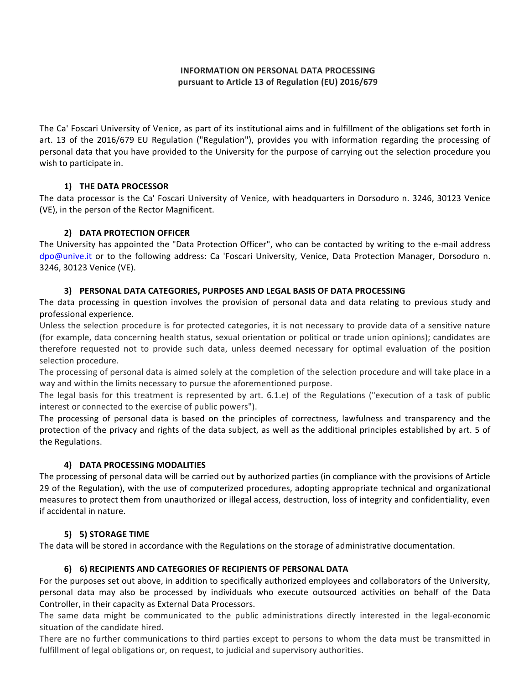# **INFORMATION ON PERSONAL DATA PROCESSING** pursuant to Article 13 of Regulation (EU) 2016/679

The Ca' Foscari University of Venice, as part of its institutional aims and in fulfillment of the obligations set forth in art. 13 of the 2016/679 EU Regulation ("Regulation"), provides you with information regarding the processing of personal data that you have provided to the University for the purpose of carrying out the selection procedure you wish to participate in.

### **1) THE DATA PROCESSOR**

The data processor is the Ca' Foscari University of Venice, with headquarters in Dorsoduro n. 3246, 30123 Venice (VE), in the person of the Rector Magnificent.

# **2) DATA PROTECTION OFFICER**

The University has appointed the "Data Protection Officer", who can be contacted by writing to the e-mail address dpo@unive.it or to the following address: Ca 'Foscari University, Venice, Data Protection Manager, Dorsoduro n. 3246, 30123 Venice (VE).

# **3) PERSONAL DATA CATEGORIES, PURPOSES AND LEGAL BASIS OF DATA PROCESSING**

The data processing in question involves the provision of personal data and data relating to previous study and professional experience.

Unless the selection procedure is for protected categories, it is not necessary to provide data of a sensitive nature (for example, data concerning health status, sexual orientation or political or trade union opinions); candidates are therefore requested not to provide such data, unless deemed necessary for optimal evaluation of the position selection procedure.

The processing of personal data is aimed solely at the completion of the selection procedure and will take place in a way and within the limits necessary to pursue the aforementioned purpose.

The legal basis for this treatment is represented by art. 6.1.e) of the Regulations ("execution of a task of public interest or connected to the exercise of public powers").

The processing of personal data is based on the principles of correctness, lawfulness and transparency and the protection of the privacy and rights of the data subject, as well as the additional principles established by art. 5 of the Regulations.

# **4) DATA PROCESSING MODALITIES**

The processing of personal data will be carried out by authorized parties (in compliance with the provisions of Article 29 of the Regulation), with the use of computerized procedures, adopting appropriate technical and organizational measures to protect them from unauthorized or illegal access, destruction, loss of integrity and confidentiality, even if accidental in nature.

# **5) 5) STORAGE TIME**

The data will be stored in accordance with the Regulations on the storage of administrative documentation.

# **6) 6) RECIPIENTS AND CATEGORIES OF RECIPIENTS OF PERSONAL DATA**

For the purposes set out above, in addition to specifically authorized employees and collaborators of the University, personal data may also be processed by individuals who execute outsourced activities on behalf of the Data Controller, in their capacity as External Data Processors.

The same data might be communicated to the public administrations directly interested in the legal-economic situation of the candidate hired.

There are no further communications to third parties except to persons to whom the data must be transmitted in fulfillment of legal obligations or, on request, to judicial and supervisory authorities.